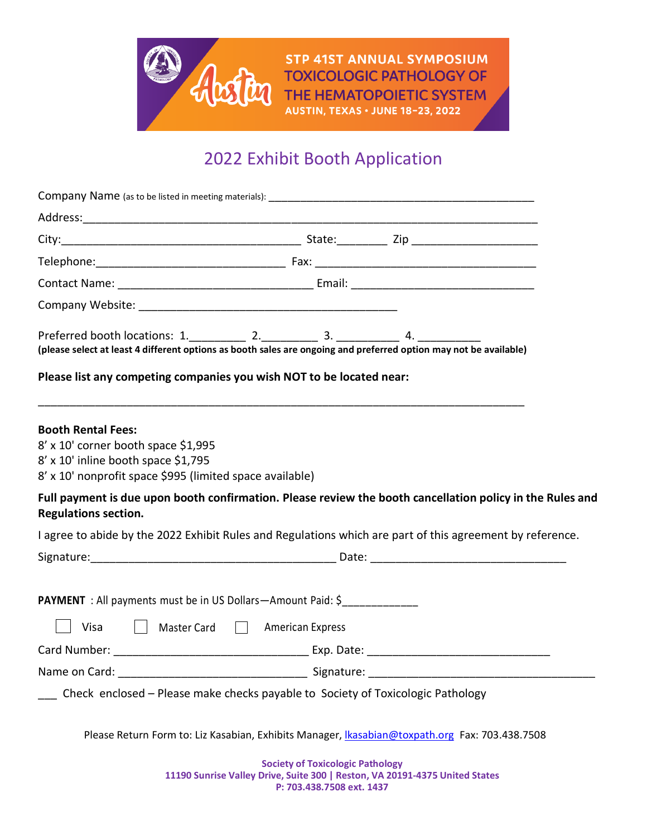

**STP 41ST ANNUAL SYMPOSIUM TOXICOLOGIC PATHOLOGY OF** THE HEMATOPOIETIC SYSTEM **AUSTIN, TEXAS · JUNE 18-23, 2022** 

## 2022 Exhibit Booth Application

| (please select at least 4 different options as booth sales are ongoing and preferred option may not be available)                                                   |  |  |
|---------------------------------------------------------------------------------------------------------------------------------------------------------------------|--|--|
| Please list any competing companies you wish NOT to be located near:                                                                                                |  |  |
| <b>Booth Rental Fees:</b><br>8' x 10' corner booth space \$1,995<br>8' x 10' inline booth space \$1,795<br>8' x 10' nonprofit space \$995 (limited space available) |  |  |
| Full payment is due upon booth confirmation. Please review the booth cancellation policy in the Rules and<br><b>Regulations section.</b>                            |  |  |
| I agree to abide by the 2022 Exhibit Rules and Regulations which are part of this agreement by reference.                                                           |  |  |
| Signature: Contract Date: Contract Date: Contract Date: Contract Date: Contract Date: Contract Date:                                                                |  |  |
| <b>PAYMENT</b> : All payments must be in US Dollars-Amount Paid: \$<br>Visa<br>    Master Card     American Express                                                 |  |  |
|                                                                                                                                                                     |  |  |
|                                                                                                                                                                     |  |  |
| Check enclosed - Please make checks payable to Society of Toxicologic Pathology                                                                                     |  |  |
| Please Return Form to: Liz Kasabian, Exhibits Manager, Ikasabian@toxpath.org Fax: 703.438.7508                                                                      |  |  |
| <b>Society of Toxicologic Pathology</b><br>11190 Sunrise Valley Drive, Suite 300   Reston, VA 20191-4375 United States                                              |  |  |

**P: 703.438.7508 ext. 1437**